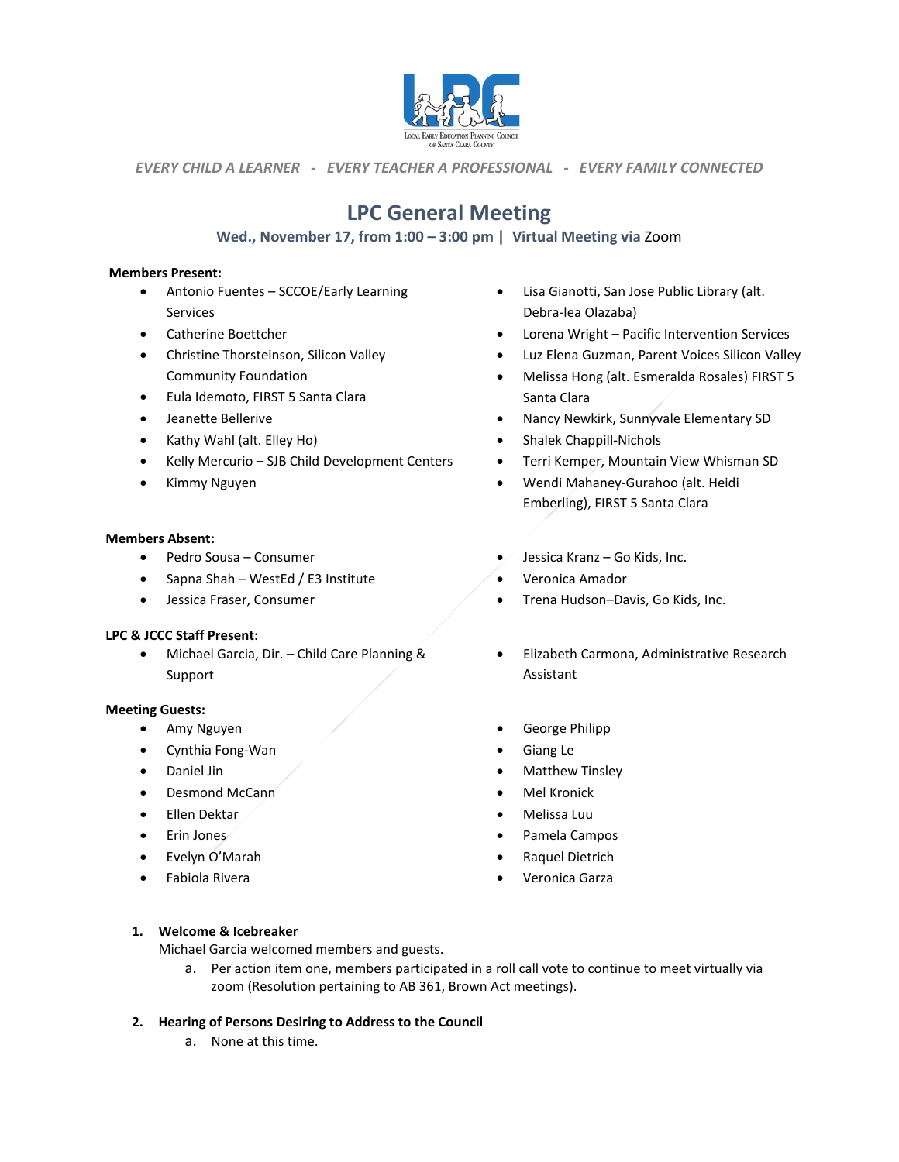

*EVERY CHILD A LEARNER - EVERY TEACHER A PROFESSIONAL - EVERY FAMILY CONNECTED*

# **LPC General Meeting**

# **Wed., November 17, from 1:00 – 3:00 pm | Virtual Meeting via** Zoom

#### **Members Present:**

- Antonio Fuentes SCCOE/Early Learning Services
- Catherine Boettcher
- Christine Thorsteinson, Silicon Valley Community Foundation
- Eula Idemoto, FIRST 5 Santa Clara
- Jeanette Bellerive
- Kathy Wahl (alt. Elley Ho)
- Kelly Mercurio SJB Child Development Centers
- Kimmy Nguyen

#### **Members Absent:**

- Pedro Sousa Consumer
- Sapna Shah WestEd / E3 Institute
- Jessica Fraser, Consumer

#### **LPC & JCCC Staff Present:**

• Michael Garcia, Dir. – Child Care Planning & Support

#### **Meeting Guests:**

- Amy Nguyen
- Cynthia Fong-Wan
- Daniel Jin
- Desmond McCann
- Ellen Dektar
- Erin Jones
- Evelyn O'Marah
- Fabiola Rivera
- Lisa Gianotti, San Jose Public Library (alt. Debra-lea Olazaba)
- Lorena Wright Pacific Intervention Services
- Luz Elena Guzman, Parent Voices Silicon Valley
- Melissa Hong (alt. Esmeralda Rosales) FIRST 5 Santa Clara
- Nancy Newkirk, Sunnyvale Elementary SD
- Shalek Chappill-Nichols
- Terri Kemper, Mountain View Whisman SD
- Wendi Mahaney-Gurahoo (alt. Heidi Emberling), FIRST 5 Santa Clara
- Jessica Kranz Go Kids, Inc.
- Veronica Amador
- Trena Hudson–Davis, Go Kids, Inc.
- Elizabeth Carmona, Administrative Research Assistant
- George Philipp
- Giang Le
- Matthew Tinsley
- Mel Kronick
- Melissa Luu
- Pamela Campos
- Raquel Dietrich
- Veronica Garza

#### **1. Welcome & Icebreaker**

Michael Garcia welcomed members and guests.

a. Per action item one, members participated in a roll call vote to continue to meet virtually via zoom (Resolution pertaining to AB 361, Brown Act meetings).

#### **2. Hearing of Persons Desiring to Address to the Council**

a. None at this time.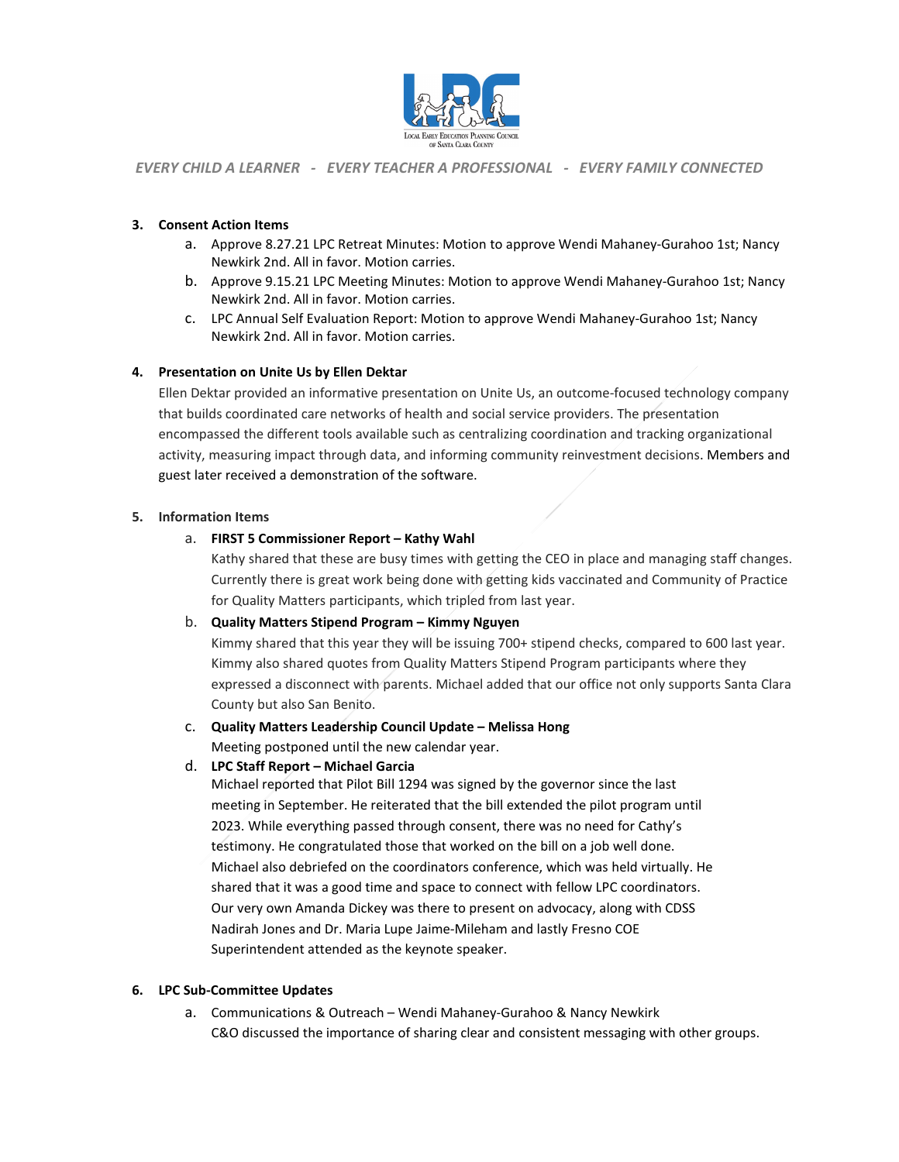

#### *EVERY CHILD A LEARNER - EVERY TEACHER A PROFESSIONAL - EVERY FAMILY CONNECTED*

#### **3. Consent Action Items**

- a. Approve 8.27.21 LPC Retreat Minutes: Motion to approve Wendi Mahaney-Gurahoo 1st; Nancy Newkirk 2nd. All in favor. Motion carries.
- b. Approve 9.15.21 LPC Meeting Minutes: Motion to approve Wendi Mahaney-Gurahoo 1st; Nancy Newkirk 2nd. All in favor. Motion carries.
- c. LPC Annual Self Evaluation Report: Motion to approve Wendi Mahaney-Gurahoo 1st; Nancy Newkirk 2nd. All in favor. Motion carries.

#### **4. Presentation on Unite Us by Ellen Dektar**

Ellen Dektar provided an informative presentation on Unite Us, an outcome-focused technology company that builds coordinated care networks of health and social service providers. The presentation encompassed the different tools available such as centralizing coordination and tracking organizational activity, measuring impact through data, and informing community reinvestment decisions. Members and guest later received a demonstration of the software.

#### **5. Information Items**

#### a. **FIRST 5 Commissioner Report – Kathy Wahl**

Kathy shared that these are busy times with getting the CEO in place and managing staff changes. Currently there is great work being done with getting kids vaccinated and Community of Practice for Quality Matters participants, which tripled from last year.

#### b. **Quality Matters Stipend Program – Kimmy Nguyen**

Kimmy shared that this year they will be issuing 700+ stipend checks, compared to 600 last year. Kimmy also shared quotes from Quality Matters Stipend Program participants where they expressed a disconnect with parents. Michael added that our office not only supports Santa Clara County but also San Benito.

# c. **Quality Matters Leadership Council Update – Melissa Hong**

Meeting postponed until the new calendar year.

# d. **LPC Staff Report – Michael Garcia**

Michael reported that Pilot Bill 1294 was signed by the governor since the last meeting in September. He reiterated that the bill extended the pilot program until 2023. While everything passed through consent, there was no need for Cathy's testimony. He congratulated those that worked on the bill on a job well done. Michael also debriefed on the coordinators conference, which was held virtually. He shared that it was a good time and space to connect with fellow LPC coordinators. Our very own Amanda Dickey was there to present on advocacy, along with CDSS Nadirah Jones and Dr. Maria Lupe Jaime-Mileham and lastly Fresno COE Superintendent attended as the keynote speaker.

#### **6. LPC Sub-Committee Updates**

a. Communications & Outreach – Wendi Mahaney-Gurahoo & Nancy Newkirk C&O discussed the importance of sharing clear and consistent messaging with other groups.